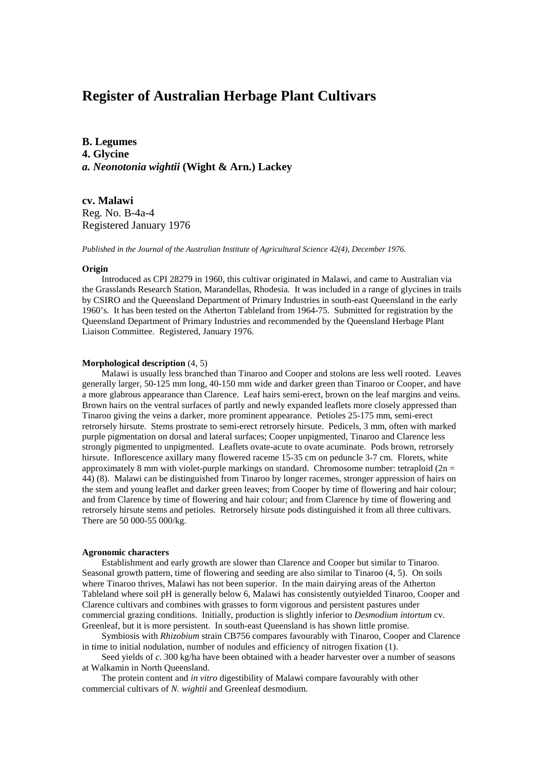# **Register of Australian Herbage Plant Cultivars**

**B. Legumes 4. Glycine** *a. Neonotonia wightii* **(Wight & Arn.) Lackey**

**cv. Malawi** Reg. No. B-4a-4 Registered January 1976

*Published in the Journal of the Australian Institute of Agricultural Science 42(4), December 1976.*

### **Origin**

Introduced as CPI 28279 in 1960, this cultivar originated in Malawi, and came to Australian via the Grasslands Research Station, Marandellas, Rhodesia. It was included in a range of glycines in trails by CSIRO and the Queensland Department of Primary Industries in south-east Queensland in the early 1960's. It has been tested on the Atherton Tableland from 1964-75. Submitted for registration by the Queensland Department of Primary Industries and recommended by the Queensland Herbage Plant Liaison Committee. Registered, January 1976.

### **Morphological description** (4, 5)

Malawi is usually less branched than Tinaroo and Cooper and stolons are less well rooted. Leaves generally larger, 50-125 mm long, 40-150 mm wide and darker green than Tinaroo or Cooper, and have a more glabrous appearance than Clarence. Leaf hairs semi-erect, brown on the leaf margins and veins. Brown hairs on the ventral surfaces of partly and newly expanded leaflets more closely appressed than Tinaroo giving the veins a darker, more prominent appearance. Petioles 25-175 mm, semi-erect retrorsely hirsute. Stems prostrate to semi-erect retrorsely hirsute. Pedicels, 3 mm, often with marked purple pigmentation on dorsal and lateral surfaces; Cooper unpigmented, Tinaroo and Clarence less strongly pigmented to unpigmented. Leaflets ovate-acute to ovate acuminate. Pods brown, retrorsely hirsute. Inflorescence axillary many flowered raceme 15-35 cm on peduncle 3-7 cm. Florets, white approximately 8 mm with violet-purple markings on standard. Chromosome number: tetraploid  $(2n =$ 44) (8). Malawi can be distinguished from Tinaroo by longer racemes, stronger appression of hairs on the stem and young leaflet and darker green leaves; from Cooper by time of flowering and hair colour; and from Clarence by time of flowering and hair colour; and from Clarence by time of flowering and retrorsely hirsute stems and petioles. Retrorsely hirsute pods distinguished it from all three cultivars. There are 50 000-55 000/kg.

#### **Agronomic characters**

Establishment and early growth are slower than Clarence and Cooper but similar to Tinaroo. Seasonal growth pattern, time of flowering and seeding are also similar to Tinaroo (4, 5). On soils where Tinaroo thrives, Malawi has not been superior. In the main dairying areas of the Atherton Tableland where soil pH is generally below 6, Malawi has consistently outyielded Tinaroo, Cooper and Clarence cultivars and combines with grasses to form vigorous and persistent pastures under commercial grazing conditions. Initially, production is slightly inferior to *Desmodium intortum* cv. Greenleaf, but it is more persistent. In south-east Queensland is has shown little promise.

Symbiosis with *Rhizobium* strain CB756 compares favourably with Tinaroo, Cooper and Clarence in time to initial nodulation, number of nodules and efficiency of nitrogen fixation (1).

Seed yields of *c*. 300 kg/ha have been obtained with a header harvester over a number of seasons at Walkamin in North Queensland.

The protein content and *in vitro* digestibility of Malawi compare favourably with other commercial cultivars of *N. wightii* and Greenleaf desmodium.